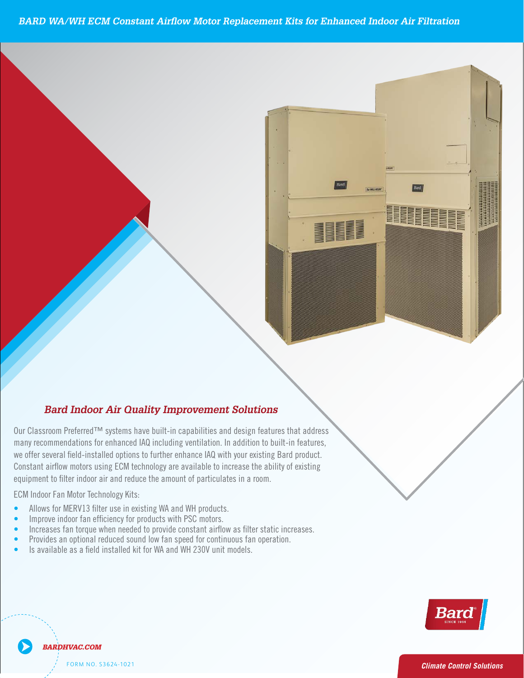*1.5 to 3 Ton 208V to 460V 60hz Air Conditioner Specications BARD WA/WH ECM Constant Airflow Motor Replacement Kits for Enhanced Indoor Air Filtration* 

#### 208V to 460V 60hz Air Conditioner Specifications. *to offer maximum indoor comfort at a minimal cost without using valuable indoor floor space or outside telecommunication structures, portable structures or correctional facilities. Factory or field installed Bard Indoor Air Quality Improvement Solutions*

1.<br>11 Eeu sereval field installed entiens to further enhance I we oner several held-mistaned options to further emiable that equipment to filter indoor air and reduce the amount of particulates in a room. *to offer maximum indoor comfort at a minimal cost contained energy efficient system, which is designed to offer maximum indoor comfort at a minimal cost* many recommendations for enhanced IAQ including ventilation. In addition to built-in features, *ground space. This unitis the ideal productfor versatile applications such as: new construction, modular offices, school modernization, telecommunication structures, portable structures or accessories are available to meet specific job versatile applications such as: new construction,* Our Classroom Preferred<sup>TM</sup> systems have built-in capabilities and design features that address *correctional facilities. Factory or field installed* we offer several field-installed options to further enhance IAQ with your existing Bard product. **Constant airflow motors using ECM technology are available to increase the ability of existing** 

**ECM Indoor Fan Motor Technology Kits:** 

11EER WALL-MOUNT™ 1.5 to 3 Ton 3 Ton 3 Ton 3 Ton 3 Ton 3 Ton 3 Ton 3 Ton 3 Ton 3 Ton 3 Ton 3 Ton 3 Ton 3 Ton 3 208V to 460V 60hz Air Conditioner Specifications.

11EER WALL-MOUNT™ 1.5 to 3 Ton 3 Ton 3 Ton 3 Ton 3 Ton 3 Ton 3 Ton 3 Ton 3 Ton 3 Ton 3 Ton 3 Ton 3 Ton 3 Ton 3 208V to 460V 60hz Air Conditioner Specifications.

*The Bard Wall-Mount Air Conditioner is a self*

*The Bard Wall-Mount Air Conditioner is a self contained energy efficient system, which is designed*

*The Bard Wall-Mount Air Conditioner is a self contained energy efficient system, which is designed to offer maximum indoor comfort at a minimal cost without using valuable indoor floor space or outside ground space. This unitis the ideal productfor versatile applications such as: new construction,*

*ground space. This unitis the ideal productfor*

*accessories are available to meet specific job*

- *versah*</del>*<i>le appending new constructive assemble to <i>allows for MERV13 filter us W36AB-A Wall-Mount™* • Allows for MERV13 filter use in existing WA and WH products.
- **•** Improve indoor fan efficiency for products with PSC motors.
- Increases fan torque when needed to provide constant airflow as filter static increases.
- **•** Provides an optional reduced sound low fan speed for continuous fan operation.
	- Is available as a field installed kit for WA and WH 230V unit models.



Bard

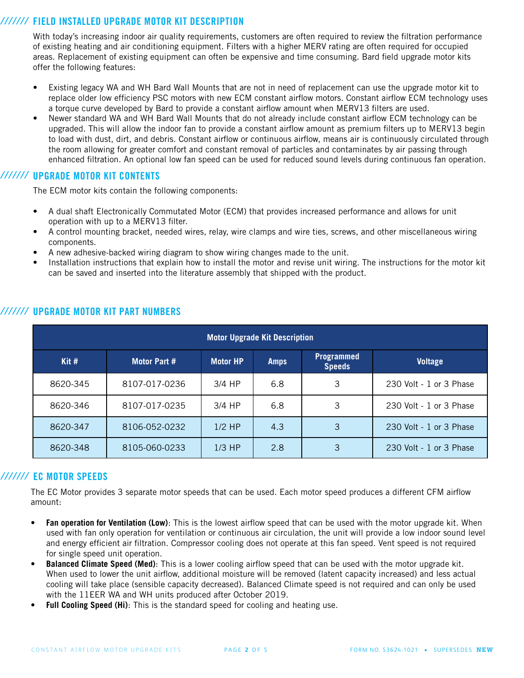### *///////* FIELD INSTALLED UPGRADE MOTOR KIT DESCRIPTION

With today's increasing indoor air quality requirements, customers are often required to review the filtration performance of existing heating and air conditioning equipment. Filters with a higher MERV rating are often required for occupied areas. Replacement of existing equipment can often be expensive and time consuming. Bard field upgrade motor kits offer the following features:

- Existing legacy WA and WH Bard Wall Mounts that are not in need of replacement can use the upgrade motor kit to replace older low efficiency PSC motors with new ECM constant airflow motors. Constant airflow ECM technology uses a torque curve developed by Bard to provide a constant airflow amount when MERV13 filters are used.
- Newer standard WA and WH Bard Wall Mounts that do not already include constant airflow ECM technology can be upgraded. This will allow the indoor fan to provide a constant airflow amount as premium filters up to MERV13 begin to load with dust, dirt, and debris. Constant airflow or continuous airflow, means air is continuously circulated through the room allowing for greater comfort and constant removal of particles and contaminates by air passing through enhanced filtration. An optional low fan speed can be used for reduced sound levels during continuous fan operation.

#### *///////* UPGRADE MOTOR KIT CONTENTS

The ECM motor kits contain the following components:

- A dual shaft Electronically Commutated Motor (ECM) that provides increased performance and allows for unit operation with up to a MERV13 filter.
- A control mounting bracket, needed wires, relay, wire clamps and wire ties, screws, and other miscellaneous wiring components.
- A new adhesive-backed wiring diagram to show wiring changes made to the unit.
- Installation instructions that explain how to install the motor and revise unit wiring. The instructions for the motor kit can be saved and inserted into the literature assembly that shipped with the product.

| <b>Motor Upgrade Kit Description</b> |               |                 |             |                                    |                         |  |
|--------------------------------------|---------------|-----------------|-------------|------------------------------------|-------------------------|--|
| Kit#                                 | Motor Part #  | <b>Motor HP</b> | <b>Amps</b> | <b>Programmed</b><br><b>Speeds</b> | <b>Voltage</b>          |  |
| 8620-345                             | 8107-017-0236 | $3/4$ HP        | 6.8         | 3                                  | 230 Volt - 1 or 3 Phase |  |
| 8620-346                             | 8107-017-0235 | $3/4$ HP        | 6.8         | 3                                  | 230 Volt - 1 or 3 Phase |  |
| 8620-347                             | 8106-052-0232 | $1/2$ HP        | 4.3         | 3                                  | 230 Volt - 1 or 3 Phase |  |
| 8620-348                             | 8105-060-0233 | $1/3$ HP        | 2.8         | 3                                  | 230 Volt - 1 or 3 Phase |  |

#### *///////* UPGRADE MOTOR KIT PART NUMBERS

# *///////* EC MOTOR SPEEDS

The EC Motor provides 3 separate motor speeds that can be used. Each motor speed produces a different CFM airflow amount:

- **• Fan operation for Ventilation (Low)**: This is the lowest airflow speed that can be used with the motor upgrade kit. When used with fan only operation for ventilation or continuous air circulation, the unit will provide a low indoor sound level and energy efficient air filtration. Compressor cooling does not operate at this fan speed. Vent speed is not required for single speed unit operation.
- **• Balanced Climate Speed (Med)**: This is a lower cooling airflow speed that can be used with the motor upgrade kit. When used to lower the unit airflow, additional moisture will be removed (latent capacity increased) and less actual cooling will take place (sensible capacity decreased). Balanced Climate speed is not required and can only be used with the 11EER WA and WH units produced after October 2019.
- **• Full Cooling Speed (Hi)**: This is the standard speed for cooling and heating use.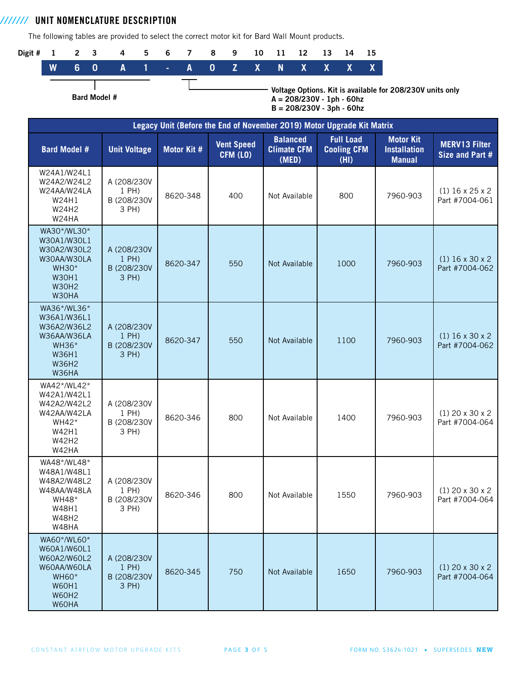UNIT NOMENCLATURE DESCRIPTION *///////*

Bard Model #

The following tables are provided to select the correct motor kit for Bard Wall Mount products.



Voltage Options. Kit is available for 208/230V units only A = 208/230V - 1ph - 60hz B = 208/230V - 3ph - 60hz

| Legacy Unit (Before the End of November 2019) Motor Upgrade Kit Matrix                                            |                                                   |                    |                               |                                                |                                                |                                                          |                                         |
|-------------------------------------------------------------------------------------------------------------------|---------------------------------------------------|--------------------|-------------------------------|------------------------------------------------|------------------------------------------------|----------------------------------------------------------|-----------------------------------------|
| <b>Bard Model #</b>                                                                                               | <b>Unit Voltage</b>                               | <b>Motor Kit #</b> | <b>Vent Speed</b><br>CFM (LO) | <b>Balanced</b><br><b>Climate CFM</b><br>(MED) | <b>Full Load</b><br><b>Cooling CFM</b><br>(HI) | <b>Motor Kit</b><br><b>Installation</b><br><b>Manual</b> | <b>MERV13 Filter</b><br>Size and Part # |
| W24A1/W24L1<br>W24A2/W24L2<br>W24AA/W24LA<br>W24H1<br>W24H2<br>W24HA                                              | A (208/230V<br>1 PH)<br>B (208/230V<br>3 PH)      | 8620-348           | 400                           | Not Available                                  | 800                                            | 7960-903                                                 | $(1)$ 16 x 25 x 2<br>Part #7004-061     |
| WA30*/WL30*<br>W30A1/W30L1<br>W30A2/W30L2<br>W30AA/W30LA<br><b>WH30*</b><br><b>W30H1</b><br><b>W30H2</b><br>W30HA | A (208/230V<br>$1$ PH)<br>B (208/230V<br>3 PH)    | 8620-347           | 550                           | Not Available                                  | 1000                                           | 7960-903                                                 | $(1)$ 16 x 30 x 2<br>Part #7004-062     |
| WA36*/WL36*<br>W36A1/W36L1<br>W36A2/W36L2<br>W36AA/W36LA<br><b>WH36*</b><br><b>W36H1</b><br><b>W36H2</b><br>W36HA | A (208/230V<br>$1$ PH $)$<br>B (208/230V<br>3 PH) | 8620-347           | 550                           | Not Available                                  | 1100                                           | 7960-903                                                 | $(1)$ 16 x 30 x 2<br>Part #7004-062     |
| WA42*/WL42*<br>W42A1/W42L1<br>W42A2/W42L2<br>W42AA/W42LA<br>WH42*<br>W42H1<br>W42H2<br>W42HA                      | A (208/230V<br>1 PH)<br>B (208/230V<br>3 PH)      | 8620-346           | 800                           | Not Available                                  | 1400                                           | 7960-903                                                 | $(1)$ 20 x 30 x 2<br>Part #7004-064     |
| WA48*/WL48*<br>W48A1/W48L1<br>W48A2/W48L2<br>W48AA/W48LA<br><b>WH48*</b><br>W48H1<br><b>W48H2</b><br>W48HA        | A (208/230V<br>1 PH)<br>B (208/230V<br>3 PH)      | 8620-346           | 800                           | Not Available                                  | 1550                                           | 7960-903                                                 | $(1)$ 20 x 30 x 2<br>Part #7004-064     |
| WA60*/WL60*<br>W60A1/W60L1<br>W60A2/W60L2<br>W60AA/W60LA<br><b>WH60*</b><br><b>W60H1</b><br><b>W60H2</b><br>W60HA | A (208/230V)<br>$1$ PH)<br>B (208/230V<br>3 PH)   | 8620-345           | 750                           | Not Available                                  | 1650                                           | 7960-903                                                 | $(1)$ 20 x 30 x 2<br>Part #7004-064     |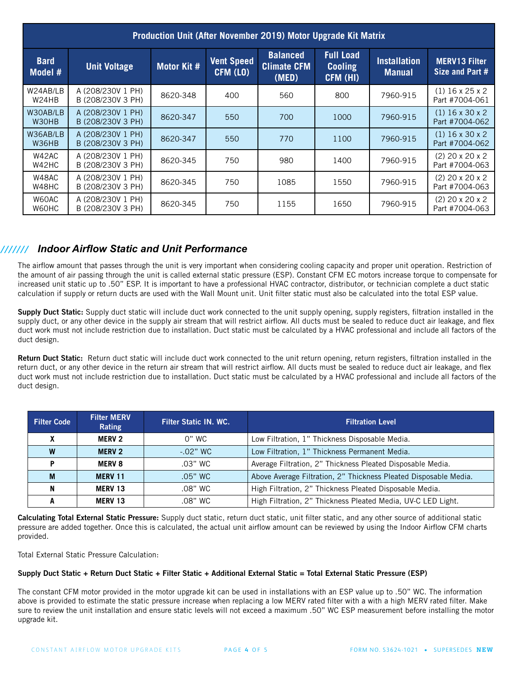| Production Unit (After November 2019) Motor Upgrade Kit Matrix |                                        |             |                               |                                                |                                                |                                      |                                         |
|----------------------------------------------------------------|----------------------------------------|-------------|-------------------------------|------------------------------------------------|------------------------------------------------|--------------------------------------|-----------------------------------------|
| <b>Bard</b><br>Model #                                         | <b>Unit Voltage</b>                    | Motor Kit # | <b>Vent Speed</b><br>CFM (LO) | <b>Balanced</b><br><b>Climate CFM</b><br>(MED) | <b>Full Load</b><br><b>Cooling</b><br>CFM (HI) | <b>Installation</b><br><b>Manual</b> | <b>MERV13 Filter</b><br>Size and Part # |
| W24AB/LB<br>W24HB                                              | A (208/230V 1 PH)<br>B (208/230V 3 PH) | 8620-348    | 400                           | 560                                            | 800                                            | 7960-915                             | $(1)$ 16 x 25 x 2<br>Part #7004-061     |
| W30AB/LB<br>W30HB                                              | A (208/230V 1 PH)<br>B (208/230V 3 PH) | 8620-347    | 550                           | 700                                            | 1000                                           | 7960-915                             | $(1)$ 16 x 30 x 2<br>Part #7004-062     |
| W36AB/LB<br>W36HB                                              | A (208/230V 1 PH)<br>B (208/230V 3 PH) | 8620-347    | 550                           | 770                                            | 1100                                           | 7960-915                             | $(1)$ 16 x 30 x 2<br>Part #7004-062     |
| W42AC<br>W42HC                                                 | A (208/230V 1 PH)<br>B (208/230V 3 PH) | 8620-345    | 750                           | 980                                            | 1400                                           | 7960-915                             | $(2)$ 20 x 20 x 2<br>Part #7004-063     |
| W48AC<br>W48HC                                                 | A (208/230V 1 PH)<br>B (208/230V 3 PH) | 8620-345    | 750                           | 1085                                           | 1550                                           | 7960-915                             | $(2)$ 20 x 20 x 2<br>Part #7004-063     |
| W60AC<br>W60HC                                                 | A (208/230V 1 PH)<br>B (208/230V 3 PH) | 8620-345    | 750                           | 1155                                           | 1650                                           | 7960-915                             | $(2)$ 20 x 20 x 2<br>Part #7004-063     |

# */////// Indoor Airflow Static and Unit Performance*

The airflow amount that passes through the unit is very important when considering cooling capacity and proper unit operation. Restriction of the amount of air passing through the unit is called external static pressure (ESP). Constant CFM EC motors increase torque to compensate for increased unit static up to .50" ESP. It is important to have a professional HVAC contractor, distributor, or technician complete a duct static calculation if supply or return ducts are used with the Wall Mount unit. Unit filter static must also be calculated into the total ESP value.

Supply Duct Static: Supply duct static will include duct work connected to the unit supply opening, supply registers, filtration installed in the supply duct, or any other device in the supply air stream that will restrict airflow. All ducts must be sealed to reduce duct air leakage, and flex duct work must not include restriction due to installation. Duct static must be calculated by a HVAC professional and include all factors of the duct design.

Return Duct Static: Return duct static will include duct work connected to the unit return opening, return registers, filtration installed in the return duct, or any other device in the return air stream that will restrict airflow. All ducts must be sealed to reduce duct air leakage, and flex duct work must not include restriction due to installation. Duct static must be calculated by a HVAC professional and include all factors of the duct design.

| <b>Filter Code</b> | <b>Filter MERV</b><br>Rating | <b>Filter Static IN. WC.</b> | <b>Filtration Level</b>                                          |
|--------------------|------------------------------|------------------------------|------------------------------------------------------------------|
|                    | <b>MERV 2</b>                | 0" WC                        | Low Filtration, 1" Thickness Disposable Media.                   |
| W                  | <b>MERV 2</b>                | $-.02"$ WC                   | Low Filtration, 1" Thickness Permanent Media.                    |
|                    | <b>MERV 8</b>                | $.03"$ WC                    | Average Filtration, 2" Thickness Pleated Disposable Media.       |
| M                  | <b>MERV 11</b>               | $.05"$ WC                    | Above Average Filtration, 2" Thickness Pleated Disposable Media. |
| N                  | <b>MERV 13</b>               | .08" WC                      | High Filtration, 2" Thickness Pleated Disposable Media.          |
|                    | <b>MERV 13</b>               | .08" WC                      | High Filtration, 2" Thickness Pleated Media, UV-C LED Light.     |

Calculating Total External Static Pressure: Supply duct static, return duct static, unit filter static, and any other source of additional static pressure are added together. Once this is calculated, the actual unit airflow amount can be reviewed by using the Indoor Airflow CFM charts provided.

Total External Static Pressure Calculation:

#### Supply Duct Static + Return Duct Static + Filter Static + Additional External Static = Total External Static Pressure (ESP)

The constant CFM motor provided in the motor upgrade kit can be used in installations with an ESP value up to .50" WC. The information above is provided to estimate the static pressure increase when replacing a low MERV rated filter with a with a high MERV rated filter. Make sure to review the unit installation and ensure static levels will not exceed a maximum .50" WC ESP measurement before installing the motor upgrade kit.